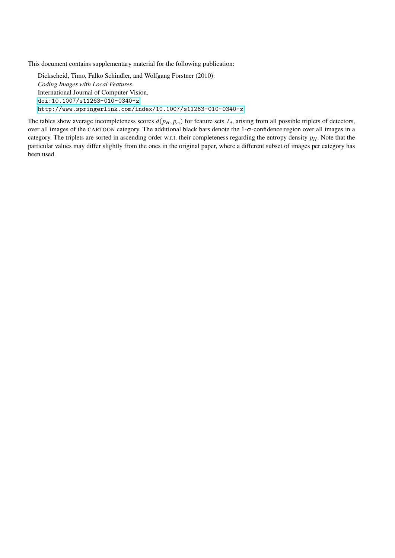This document contains supplementary material for the following publication:

Dickscheid, Timo, Falko Schindler, and Wolfgang Förstner (2010): *Coding Images with Local Features*. International Journal of Computer Vision, <doi:10.1007/s11263-010-0340-z> <http://www.springerlink.com/index/10.1007/s11263-010-0340-z>

The tables show average incompleteness scores  $d(p_H, p_{c_i})$  for feature sets  $\mathcal{L}_i$ , arising from all possible triplets of detectors, over all images of the CARTOON category. The additional black bars denote the 1-σ-confidence region over all images in a category. The triplets are sorted in ascending order w.r.t. their completeness regarding the entropy density *pH*. Note that the particular values may differ slightly from the ones in the original paper, where a different subset of images per category has been used.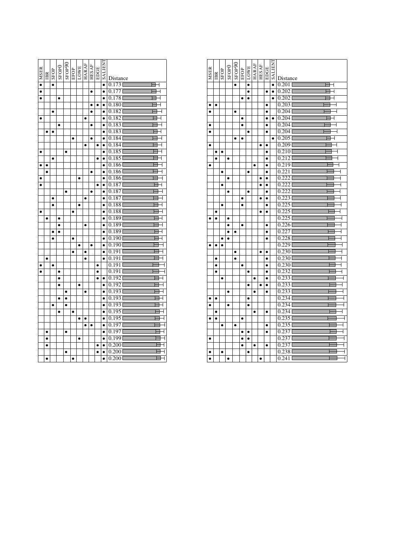|                  |           |           | SFOP <sub>0</sub> |           |           |           |              | <b>HESAF</b> | EDGE      |                |                                  |
|------------------|-----------|-----------|-------------------|-----------|-----------|-----------|--------------|--------------|-----------|----------------|----------------------------------|
| $\bullet$   MSER | IBR       | SFOP      |                   | SFOP90    | EFOP      | LOWE      | <b>HARAF</b> |              |           | <b>TNHITKS</b> | Distance                         |
|                  |           | $\bullet$ |                   |           |           |           |              |              |           | $\bullet$      | 0.173                            |
| $\bullet$        |           |           |                   |           |           |           |              | $\bullet$    |           | $\bullet$      | 0.177<br>┥                       |
| $\bullet$        |           |           | $\bullet$         |           |           |           |              |              |           | $\bullet$      | 0.1781                           |
|                  |           |           |                   |           |           |           |              | $\bullet$    | $\bullet$ | $\bullet$      | 0.1801                           |
|                  |           | $\bullet$ |                   |           |           |           |              | ٠            |           | $\bullet$      | 0.182                            |
| $\bullet$        |           |           |                   |           |           |           | $\bullet$    |              |           | $\bullet$      | $0.182$ <sup>[</sup>             |
|                  |           |           | $\bullet$         |           |           |           |              | ٠            |           | ٠              | 0.183                            |
|                  |           |           |                   |           |           |           |              |              |           | $\bullet$      | 0.183                            |
|                  |           |           |                   |           | $\bullet$ |           |              | $\bullet$    |           | $\bullet$      | 0.184                            |
|                  |           |           |                   |           |           |           | $\bullet$    |              | $\bullet$ | $\bullet$      | $0.184$ <sup>[</sup>             |
| $\bullet$        |           |           |                   | $\bullet$ |           |           |              |              |           | $\bullet$      | $0.185$ <sup>[</sup>             |
|                  |           | $\bullet$ |                   |           |           |           |              |              | $\bullet$ | $\bullet$      | $0.185$ <sup>[</sup>             |
|                  |           |           |                   |           |           |           |              |              |           | $\bullet$      | 0.186                            |
|                  |           |           |                   |           |           |           |              | $\bullet$    |           | $\bullet$      | 0.186<br>$\overline{1}$          |
| $\bullet$        |           |           |                   |           |           | $\bullet$ |              |              |           | $\bullet$      | 0.186                            |
| $\bullet$        |           |           |                   |           |           |           |              |              | $\bullet$ | $\bullet$      | $0.187$ <sup>[]</sup>            |
|                  |           |           |                   | $\bullet$ |           |           |              | ٠            |           | $\bullet$      | 0.187                            |
|                  |           | $\bullet$ |                   |           |           |           | $\bullet$    |              |           | $\bullet$      | $0.187$ <sup>[]</sup>            |
|                  |           | $\bullet$ |                   |           |           |           |              |              |           | $\bullet$      | 0.188                            |
|                  |           |           |                   |           | ۰         |           |              |              |           | $\bullet$      | 0.188                            |
|                  | $\bullet$ |           | $\bullet$         |           |           |           |              |              |           | $\bullet$      | 0.1891                           |
|                  |           |           | $\bullet$         |           |           |           | $\bullet$    |              |           | $\bullet$      | $0.189$ <sup>[</sup>             |
|                  |           | Ō         | $\bullet$         |           |           |           |              |              |           | $\bullet$      | $0.189$ <sup>[</sup>             |
|                  |           | $\bullet$ |                   |           | $\bullet$ |           |              |              |           | $\bullet$      | 0.1901                           |
|                  |           |           |                   |           |           | $\bullet$ |              | ٠            |           | ٠              | 0.1901                           |
|                  |           |           |                   |           | $\bullet$ |           | $\bullet$    |              |           | $\bullet$      | 0.1911                           |
|                  | $\bullet$ |           |                   |           |           |           | $\bullet$    |              |           | $\bullet$      | 0.1911                           |
| $\bullet$        |           | $\bullet$ |                   |           |           |           |              |              | $\bullet$ |                | 0.1911                           |
| $\bullet$        |           |           | $\bullet$         |           |           |           |              |              | $\bullet$ |                | 0.191<br>ſ                       |
|                  |           |           | $\bullet$         |           |           |           |              |              | $\bullet$ | $\bullet$      | $0.192$ <sup>[</sup>             |
|                  |           |           | $\bullet$         |           |           | ٠         |              |              |           | $\bullet$      | $0.192$ <sup>[</sup>             |
|                  |           |           |                   | $\bullet$ |           |           | $\bullet$    |              |           | $\bullet$      | 0.1931                           |
|                  |           |           | $\bullet$         | $\bullet$ |           |           |              |              |           | $\bullet$      | 0.1931                           |
|                  |           |           |                   | ٠         |           |           |              |              |           | $\bullet$      | 0.1931                           |
|                  |           |           | $\bullet$         |           | $\bullet$ |           |              |              |           | $\bullet$      | 0.195                            |
|                  |           |           |                   |           |           | $\bullet$ | ٠            |              |           | $\bullet$      | $0.195$ <sup>[</sup>             |
|                  |           |           |                   |           |           |           |              |              |           | $\bullet$      | 0.197                            |
|                  | $\bullet$ |           |                   | $\bullet$ |           |           |              |              |           | $\bullet$      | 0.197                            |
|                  | $\bullet$ |           |                   |           |           | $\bullet$ |              |              |           | $\bullet$      | 0.1991                           |
|                  | $\bullet$ |           |                   |           |           |           |              |              | $\bullet$ | $\bullet$      | 0.2001                           |
|                  |           |           |                   | ٠         |           |           |              |              | $\bullet$ | $\bullet$      | 0.2001                           |
|                  |           |           |                   |           |           |           |              |              |           | $\bullet$      | 0.200<br>$\overline{\mathsf{I}}$ |

| <b>MSER</b> | IBR       | SFOP      | SFOP <sub>0</sub> | SFOP90    | EFOP      | LOWE      | <b>HARAF</b> | <b>HESAF</b> | EDGE      | <b>LIENT</b> | Distance                         |
|-------------|-----------|-----------|-------------------|-----------|-----------|-----------|--------------|--------------|-----------|--------------|----------------------------------|
|             |           |           |                   | $\bullet$ |           | $\bullet$ |              |              |           | $\bullet$    | 0.201<br>┫                       |
|             |           |           |                   |           |           | $\bullet$ |              |              | $\bullet$ | $\bullet$    | $0.202$ <sup>[</sup>             |
|             |           |           |                   |           | $\bullet$ | $\bullet$ |              |              |           | $\bullet$    | 0.202<br>$\overline{1}$          |
| $\bullet$   | $\bullet$ |           |                   |           |           |           |              |              | $\bullet$ |              | 0.203                            |
| $\bullet$   |           |           |                   | $\bullet$ |           |           |              |              | $\bullet$ |              | 0.204                            |
|             |           |           |                   |           | ٠         |           |              |              | $\bullet$ | $\bullet$    | 0.204                            |
| $\bullet$   |           |           |                   |           | $\bullet$ |           |              |              | $\bullet$ |              | $0.204$ <sup>[</sup>             |
| $\bullet$   |           |           |                   |           |           | $\bullet$ |              |              | $\bullet$ |              | 0.204                            |
|             |           |           |                   |           | $\bullet$ |           |              |              |           | $\bullet$    | 0.205                            |
| $\bullet$   |           |           |                   |           |           |           |              | $\bullet$    | $\bullet$ |              | 0.2091                           |
|             | $\bullet$ | $\bullet$ |                   |           |           |           |              |              | $\bullet$ |              | 0.210                            |
|             | $\bullet$ |           | $\bullet$         |           |           |           |              |              | $\bullet$ |              | 0.212                            |
| $\bullet$   |           |           |                   |           |           |           | $\bullet$    |              | $\bullet$ |              | 0.2191                           |
|             |           | $\bullet$ |                   |           |           | $\bullet$ |              |              | $\bullet$ |              | 0.221                            |
|             |           |           | $\bullet$         |           |           |           |              | c            | $\bullet$ |              | 0.2221                           |
|             |           | $\bullet$ |                   |           |           |           |              | $\bullet$    | $\bullet$ |              | 0.2221                           |
|             |           |           | $\bullet$         |           |           | $\bullet$ |              |              | ٠         |              | 0.222                            |
|             |           |           |                   |           | $\bullet$ |           |              | $\bullet$    | $\bullet$ |              | 0.223                            |
|             |           | $\bullet$ |                   |           | $\bullet$ |           |              |              | $\bullet$ |              | 0.225                            |
|             |           |           |                   |           |           |           |              |              | $\bullet$ |              | 0.225                            |
| $\bullet$   | $\bullet$ |           | $\bullet$         |           |           |           |              |              |           |              | 0.2251                           |
|             |           |           | $\bullet$         |           | $\bullet$ |           |              |              | $\bullet$ |              | 0.226<br>┫                       |
|             |           |           | $\bullet$         | $\bullet$ |           |           |              |              | $\bullet$ |              | 0.227<br>ł                       |
|             |           | $\bullet$ | $\bullet$         |           |           |           |              |              | $\bullet$ |              | 0.228<br>$\overline{\mathsf{I}}$ |
| $\bullet$   | Ō         | $\bullet$ |                   |           |           |           |              |              |           |              | 0.229                            |
|             |           |           |                   | $\bullet$ |           |           |              |              | $\bullet$ |              | 0.230<br>$\overline{\mathsf{I}}$ |
|             | $\bullet$ |           |                   | $\bullet$ |           |           |              |              | $\bullet$ |              | 0.2301                           |
|             | $\bullet$ |           |                   |           | $\bullet$ |           |              |              | $\bullet$ |              | 0.2301                           |
|             | $\bullet$ |           |                   |           |           | $\bullet$ |              |              | $\bullet$ |              | 0.232                            |
|             |           | $\bullet$ |                   |           |           |           | $\bullet$    |              | $\bullet$ |              | 0.2331                           |
|             |           |           |                   |           |           | $\bullet$ |              |              | $\bullet$ |              | 0.233                            |
|             |           |           | $\bullet$         |           |           |           | $\bullet$    |              | $\bullet$ |              | 0.233                            |
|             | $\bullet$ |           |                   |           |           | $\bullet$ |              |              |           |              | 0.234                            |
|             |           |           | ٠                 |           |           |           |              |              |           |              | 0.2341                           |
|             | $\bullet$ |           |                   |           |           |           | $\bullet$    |              | $\bullet$ |              | 0.2341                           |
| $\bullet$   | $\bullet$ |           |                   |           | $\bullet$ |           |              |              |           |              | 0.235                            |
|             |           | $\bullet$ |                   | $\bullet$ |           |           |              |              | $\bullet$ |              | 0.235                            |
|             |           |           |                   |           | ٠         |           |              |              | $\bullet$ |              | 0.237                            |
| $\bullet$   |           |           |                   |           |           |           |              |              |           |              | 0.237                            |
|             |           |           |                   |           |           |           | $\bullet$    |              | $\bullet$ |              | 0.2371<br>ł                      |
|             |           | $\bullet$ |                   |           |           | $\bullet$ |              |              |           |              | 0.238                            |
|             |           |           |                   |           |           |           |              |              |           |              | 0.241                            |
|             |           |           |                   |           |           |           |              |              |           |              |                                  |